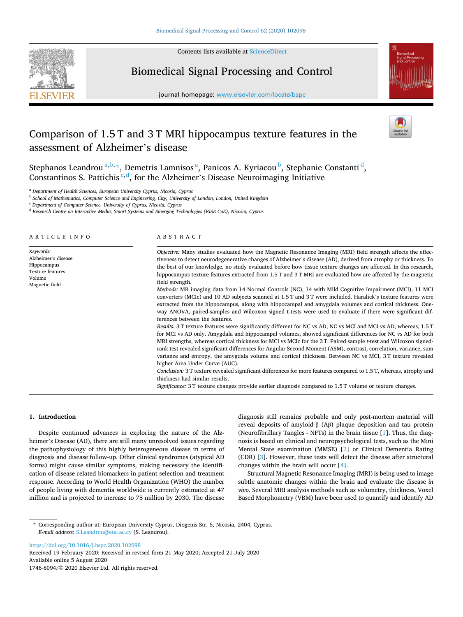

Contents lists available at [ScienceDirect](www.sciencedirect.com/science/journal/17468094)

# Biomedical Signal Processing and Control

journal homepage: [www.elsevier.com/locate/bspc](https://www.elsevier.com/locate/bspc)



# Comparison of 1.5 T and 3 T MRI hippocampus texture features in the assessment of Alzheimer's disease



Stephanos Leandrou<sup>a, b,</sup> \*, Demetris Lamnisos<sup>a</sup>, Panicos A. Kyriacou<sup>b</sup>, Stephanie Constanti<sup>d</sup>, Constantinos S. Pattichis<sup>c, d</sup>, for the Alzheimer's Disease Neuroimaging Initiative

<sup>a</sup> *Department of Health Sciences, European University Cyprus, Nicosia, Cyprus* 

<sup>b</sup> *School of Mathematics, Computer Science and Engineering, City, University of London, London, United Kingdom* 

<sup>c</sup> *Department of Computer Science, University of Cyprus, Nicosia, Cyprus* 

<sup>d</sup> *Research Centre on Interactive Media, Smart Systems and Emerging Technologies (RISE CoE), Nicosia, Cyprus* 

| ARTICLE INFO                                                                                           | ABSTRACT                                                                                                                                                                                                                                                                                                                                                                                                                                                                                                                                                                                                                                                                                                                                                                                                                                                                                                                                                                                                                                                                                                                                                                                                                                                                                                                                                                                                                                                                                                                                                                                                                                                                                                                                                                                                                                                                |
|--------------------------------------------------------------------------------------------------------|-------------------------------------------------------------------------------------------------------------------------------------------------------------------------------------------------------------------------------------------------------------------------------------------------------------------------------------------------------------------------------------------------------------------------------------------------------------------------------------------------------------------------------------------------------------------------------------------------------------------------------------------------------------------------------------------------------------------------------------------------------------------------------------------------------------------------------------------------------------------------------------------------------------------------------------------------------------------------------------------------------------------------------------------------------------------------------------------------------------------------------------------------------------------------------------------------------------------------------------------------------------------------------------------------------------------------------------------------------------------------------------------------------------------------------------------------------------------------------------------------------------------------------------------------------------------------------------------------------------------------------------------------------------------------------------------------------------------------------------------------------------------------------------------------------------------------------------------------------------------------|
| Keywords:<br>Alzheimer's disease<br>Hippocampus<br><b>Texture features</b><br>Volume<br>Magnetic field | Objective: Many studies evaluated how the Magnetic Resonance Imaging (MRI) field strength affects the effec-<br>tiveness to detect neurodegenerative changes of Alzheimer's disease (AD), derived from atrophy or thickness. To<br>the best of our knowledge, no study evaluated before how tissue texture changes are affected. In this research,<br>hippocampus texture features extracted from 1.5 T and 3 T MRI are evaluated how are affected by the magnetic<br>field strength.<br>Methods: MR imaging data from 14 Normal Controls (NC), 14 with Mild Cognitive Impairment (MCI), 11 MCI<br>converters (MCIc) and 10 AD subjects scanned at 1.5 T and 3 T were included. Haralick's texture features were<br>extracted from the hippocampus, along with hippocampal and amygdala volumes and cortical thickness. One-<br>way ANOVA, paired-samples and Wilcoxon signed t-tests were used to evaluate if there were significant dif-<br>ferences between the features.<br>Results: 3 T texture features were significantly different for NC vs AD, NC vs MCI and MCI vs AD, whereas, 1.5 T<br>for MCI vs AD only. Amygdala and hippocampal volumes, showed significant differences for NC vs AD for both<br>MRI strengths, whereas cortical thickness for MCI vs MCIc for the 3T. Paired sample t-test and Wilcoxon signed-<br>rank test revealed significant differences for Angular Second Moment (ASM), contrast, correlation, variance, sum<br>variance and entropy, the amygdala volume and cortical thickness. Between NC vs MCI, 3T texture revealed<br>higher Area Under Curve (AUC).<br>Conclusion: 3 T texture revealed significant differences for more features compared to 1.5 T, whereas, atrophy and<br>thickness had similar results.<br>Significance: 3 T texture changes provide earlier diagnosis compared to 1.5 T volume or texture changes. |

# **1. Introduction**

Despite continued advances in exploring the nature of the Alzheimer's Disease (AD), there are still many unresolved issues regarding the pathophysiology of this highly heterogeneous disease in terms of diagnosis and disease follow-up. Other clinical syndromes (atypical AD forms) might cause similar symptoms, making necessary the identification of disease related biomarkers in patient selection and treatment response. According to World Health Organization (WHO) the number of people living with dementia worldwide is currently estimated at 47 million and is projected to increase to 75 million by 2030. The disease diagnosis still remains probable and only post-mortem material will reveal deposits of amyloid-β (Aβ) plaque deposition and tau protein (Neurofibrillary Tangles - NFTs) in the brain tissue [\[1\]](#page-5-0). Thus, the diagnosis is based on clinical and neuropsychological tests, such as the Mini Mental State examination (MMSE) [[2](#page-5-0)] or Clinical Dementia Rating (CDR) [\[3\]](#page-5-0). However, these tests will detect the disease after structural changes within the brain will occur [[4](#page-5-0)].

Structural Magnetic Resonance Imaging (MRI) is being used to image subtle anatomic changes within the brain and evaluate the disease *in vivo*. Several MRI analysis methods such as volumetry, thickness, Voxel Based Morphometry (VBM) have been used to quantify and identify AD

<https://doi.org/10.1016/j.bspc.2020.102098>

Available online 5 August 2020 1746-8094/© 2020 Elsevier Ltd. All rights reserved. Received 19 February 2020; Received in revised form 21 May 2020; Accepted 21 July 2020

<sup>\*</sup> Corresponding author at: European University Cyprus, Diogenis Str. 6, Nicosia, 2404, Cyprus. *E-mail address:* [S.Leandrou@euc.ac.cy](mailto:S.Leandrou@euc.ac.cy) (S. Leandrou).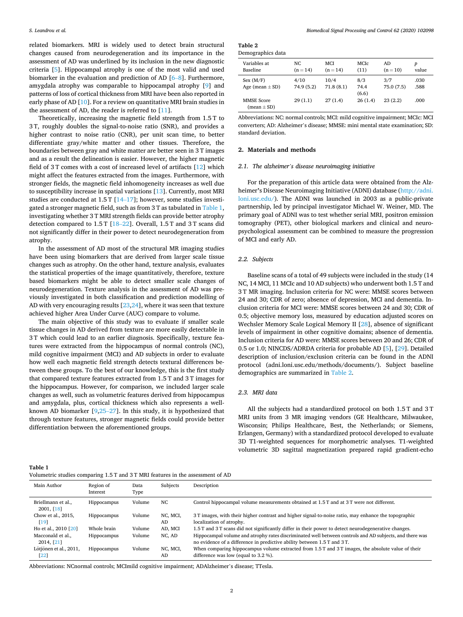<span id="page-1-0"></span>related biomarkers. MRI is widely used to detect brain structural changes caused from neurodegeneration and its importance in the assessment of AD was underlined by its inclusion in the new diagnostic criteria [[5](#page-5-0)]. Hippocampal atrophy is one of the most valid and used biomarker in the evaluation and prediction of AD [6–[8\]](#page-5-0). Furthermore, amygdala atrophy was comparable to hippocampal atrophy [[9](#page-5-0)] and patterns of loss of cortical thickness from MRI have been also reported in early phase of AD [\[10](#page-5-0)]. For a review on quantitative MRI brain studies in the assessment of AD, the reader is referred to [[11\]](#page-5-0).

Theoretically, increasing the magnetic field strength from 1.5 T to 3 T, roughly doubles the signal-to-noise ratio (SNR), and provides a higher contrast to noise ratio (CNR), per unit scan time, to better differentiate gray/white matter and other tissues. Therefore, the boundaries between gray and white matter are better seen in 3 T images and as a result the delineation is easier. However, the higher magnetic field of 3 T comes with a cost of increased level of artifacts [\[12](#page-5-0)] which might affect the features extracted from the images. Furthermore, with stronger fields, the magnetic field inhomogeneity increases as well due to susceptibility increase in spatial variations [[13\]](#page-5-0). Currently, most MRI studies are conducted at 1.5 T [14–[17\]](#page-5-0); however, some studies investigated a stronger magnetic field, such as from 3 T as tabulated in Table 1, investigating whether 3 T MRI strength fields can provide better atrophy detection compared to 1.5 T [[18](#page-5-0)–22]. Overall, 1.5 T and 3 T scans did not significantly differ in their power to detect neurodegeneration from atrophy.

In the assessment of AD most of the structural MR imaging studies have been using biomarkers that are derived from larger scale tissue changes such as atrophy. On the other hand, texture analysis, evaluates the statistical properties of the image quantitatively, therefore, texture based biomarkers might be able to detect smaller scale changes of neurodegeneration. Texture analysis in the assessment of AD was previously investigated in both classification and prediction modelling of AD with very encouraging results [\[23,24](#page-5-0)], where it was seen that texture achieved higher Area Under Curve (AUC) compare to volume.

The main objective of this study was to evaluate if smaller scale tissue changes in AD derived from texture are more easily detectable in 3 T which could lead to an earlier diagnosis. Specifically, texture features were extracted from the hippocampus of normal controls (NC), mild cognitive impairment (MCI) and AD subjects in order to evaluate how well each magnetic field strength detects textural differences between these groups. To the best of our knowledge, this is the first study that compared texture features extracted from 1.5 T and 3 T images for the hippocampus. However, for comparison, we included larger scale changes as well, such as volumetric features derived from hippocampus and amygdala, plus, cortical thickness which also represents a wellknown AD biomarker  $[9,25-27]$  $[9,25-27]$  $[9,25-27]$ . In this study, it is hypothesized that through texture features, stronger magnetic fields could provide better differentiation between the aforementioned groups.

**Table 2**  Demographics data

| $50$ cmographics and               |                    |                          |                      |                   |              |
|------------------------------------|--------------------|--------------------------|----------------------|-------------------|--------------|
| Variables at<br>Baseline           | NC.<br>$(n = 14)$  | <b>MCI</b><br>$(n = 14)$ | MCIc<br>(11)         | AD<br>$(n = 10)$  | p<br>value   |
| Sex (M/F)<br>Age (mean $\pm$ SD)   | 4/10<br>74.9 (5.2) | 10/4<br>71.8(8.1)        | 8/3<br>74.4<br>(6.6) | 3/7<br>75.0 (7.5) | .030<br>.588 |
| <b>MMSE Score</b><br>$mean \pm SD$ | 29(1.1)            | 27(1.4)                  | 26(1.4)              | 23(2.2)           | .000         |

Abbreviations: NC: normal controls; MCI: mild cognitive impairment; MCIc: MCI converters; AD: Alzheimer's disease; MMSE: mini mental state examination; SD: standard deviation.

# **2. Materials and methods**

# *2.1. The alzheimer's disease neuroimaging initiative*

For the preparation of this article data were obtained from the Alzheimer**'**s Disease Neuroimaging Initiative (ADNI) database [\(http://adni.](http://adni.loni.usc.edu/)  [loni.usc.edu/\)](http://adni.loni.usc.edu/). The ADNI was launched in 2003 as a public-private partnership, led by principal investigator Michael W. Weiner, MD. The primary goal of ADNI was to test whether serial MRI, positron emission tomography (PET), other biological markers and clinical and neuropsychological assessment can be combined to measure the progression of MCI and early AD.

## *2.2. Subjects*

Baseline scans of a total of 49 subjects were included in the study (14 NC, 14 MCI, 11 MCIc and 10 AD subjects) who underwent both 1.5 T and 3 T MR imaging. Inclusion criteria for NC were: MMSE scores between 24 and 30; CDR of zero; absence of depression, MCI and dementia. Inclusion criteria for MCI were: MMSE scores between 24 and 30; CDR of 0.5; objective memory loss, measured by education adjusted scores on Wechsler Memory Scale Logical Memory II [\[28](#page-5-0)], absence of significant levels of impairment in other cognitive domains; absence of dementia. Inclusion criteria for AD were: MMSE scores between 20 and 26; CDR of 0.5 or 1.0; NINCDS/ADRDA criteria for probable AD [\[5\]](#page-5-0), [[29\]](#page-5-0). Detailed description of inclusion/exclusion criteria can be found in the ADNI protocol (adni.loni.usc.edu/methods/documents/). Subject baseline demographics are summarized in Table 2.

# *2.3. MRI data*

All the subjects had a standardized protocol on both 1.5 T and 3 T MRI units from 3 MR imaging vendors (GE Healthcare, Milwaukee, Wisconsin; Philips Healthcare, Best, the Netherlands; or Siemens, Erlangen, Germany) with a standardized protocol developed to evaluate 3D T1-weighted sequences for morphometric analyses. T1-weighted volumetric 3D sagittal magnetization prepared rapid gradient-echo

| w<br>۰.<br>× |  |
|--------------|--|
|--------------|--|

| Main Author                      | Region of<br>Interest | Data<br>Type | Subjects       | Description                                                                                                                                                                         |
|----------------------------------|-----------------------|--------------|----------------|-------------------------------------------------------------------------------------------------------------------------------------------------------------------------------------|
| Briellmann et al.,<br>2001, [18] | Hippocampus           | Volume       | NC.            | Control hippocampal volume measurements obtained at 1.5 T and at 3 T were not different.                                                                                            |
| Chow et al., 2015,<br>[19]       | <b>Hippocampus</b>    | Volume       | NC. MCI.<br>AD | 3 T images, with their higher contrast and higher signal-to-noise ratio, may enhance the topographic<br>localization of atrophy.                                                    |
| Ho et al., 2010 [20]             | Whole brain           | Volume       | AD, MCI        | 1.5 T and 3 T scans did not significantly differ in their power to detect neurodegenerative changes.                                                                                |
| Macconald et al.,<br>2014, [21]  | Hippocampus           | Volume       | NC, AD         | Hippocampal volume and atrophy rates discriminated well between controls and AD subjects, and there was<br>no evidence of a difference in predictive ability between 1.5 T and 3 T. |
| Lötjönen et al., 2011,<br>[22]   | <b>Hippocampus</b>    | Volume       | NC, MCI,<br>AD | When comparing hippocampus volume extracted from 1.5 T and 3 T images, the absolute value of their<br>difference was low (equal to 3.2 %).                                          |

Abbreviations: NCnormal controls; MCImild cognitive impairment; ADAlzheimer's disease; TTesla.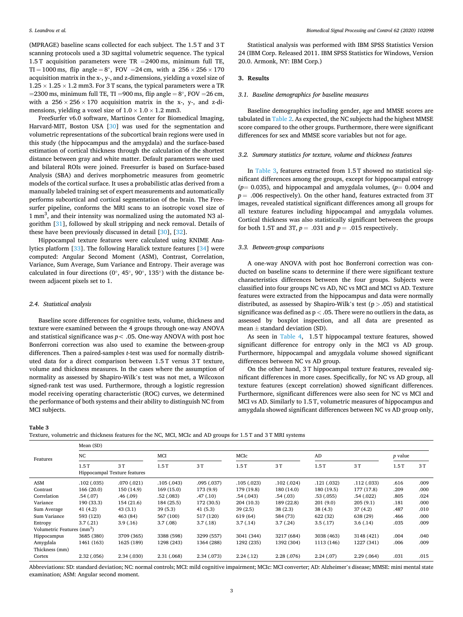(MPRAGE) baseline scans collected for each subject. The 1.5 T and 3 T scanning protocols used a 3D sagittal volumetric sequence. The typical 1.5 T acquisition parameters were  $TR = 2400$  ms, minimum full TE, TI = 1000 ms, flip angle =  $8^\circ$ , FOV = 24 cm, with a  $256 \times 256 \times 170$ acquisition matrix in the x-, y-, and z-dimensions, yielding a voxel size of  $1.25 \times 1.25 \times 1.2$  mm3. For 3 T scans, the typical parameters were a TR =2300 ms, minimum full TE, TI =900 ms, flip angle =  $8^\circ$ , FOV = 26 cm, with a  $256 \times 256 \times 170$  acquisition matrix in the x-, y-, and z-dimensions, yielding a voxel size of  $1.0 \times 1.0 \times 1.2$  mm3.

FreeSurfer v6.0 software, Martinos Center for Biomedical Imaging, Harvard-MIT, Boston USA [[30\]](#page-5-0) was used for the segmentation and volumetric representations of the subcortical brain regions were used in this study (the hippocampus and the amygdala) and the surface-based estimation of cortical thickness through the calculation of the shortest distance between gray and white matter. Default parameters were used and bilateral ROIs were joined. Freesurfer is based on Surface-based Analysis (SBA) and derives morphometric measures from geometric models of the cortical surface. It uses a probabilistic atlas derived from a manually labeled training set of expert measurements and automatically performs subcortical and cortical segmentation of the brain. The Freesurfer pipeline, conforms the MRI scans to an isotropic voxel size of 1 mm<sup>3</sup>, and their intensity was normalized using the automated N3 algorithm [[31\]](#page-5-0), followed by skull stripping and neck removal. Details of these have been previously discussed in detail [\[30](#page-5-0)], [[32\]](#page-5-0).

Hippocampal texture features were calculated using KNIME Analytics platform [[33\]](#page-5-0). The following Haralick texture features [[34\]](#page-5-0) were computed: Angular Second Moment (ASM), Contrast, Correlation, Variance, Sum Average, Sum Variance and Entropy. Their average was calculated in four directions ( $0^\circ$ , 45 $^\circ$ , 90 $^\circ$ , 135 $^\circ$ ) with the distance between adjacent pixels set to 1.

#### *2.4. Statistical analysis*

Baseline score differences for cognitive tests, volume, thickness and texture were examined between the 4 groups through one-way ANOVA and statistical significance was  $p < .05$ . One-way ANOVA with post hoc Bonferroni correction was also used to examine the between-group differences. Then a paired-samples *t*-test was used for normally distributed data for a direct comparison between 1.5 T versus 3 T texture, volume and thickness measures. In the cases where the assumption of normality as assessed by Shapiro-Wilk's test was not met, a Wilcoxon signed-rank test was used. Furthermore, through a logistic regression model receiving operating characteristic (ROC) curves, we determined the performance of both systems and their ability to distinguish NC from MCI subjects.

Statistical analysis was performed with IBM SPSS Statistics Version 24 (IBM Corp. Released 2011. IBM SPSS Statistics for Windows, Version 20.0. Armonk, NY: IBM Corp.)

## **3. Results**

## *3.1. Baseline demographics for baseline measures*

Baseline demographics including gender, age and MMSE scores are tabulated in [Table 2.](#page-1-0) As expected, the NC subjects had the highest MMSE score compared to the other groups. Furthermore, there were significant differences for sex and MMSE score variables but not for age.

## *3.2. Summary statistics for texture, volume and thickness features*

In Table 3, features extracted from 1.5 T showed no statistical significant differences among the groups, except for hippocampal entropy  $(p= 0.035)$ , and hippocampal and amygdala volumes,  $(p= 0.004$  and  $p = .006$  respectively). On the other hand, features extracted from 3T images, revealed statistical significant differences among all groups for all texture features including hippocampal and amygdala volumes. Cortical thickness was also statistically significant between the groups for both 1.5T and 3T,  $p = .031$  and  $p = .015$  respectively.

#### *3.3. Between-group comparisons*

A one-way ANOVA with post hoc Bonferroni correction was conducted on baseline scans to determine if there were significant texture characteristics differences between the four groups. Subjects were classified into four groups NC vs AD, NC vs MCI and MCI vs AD. Texture features were extracted from the hippocampus and data were normally distributed, as assessed by Shapiro-Wilk's test (p *>* .05) and statistical significance was defined as p *<* .05. There were no outliers in the data, as assessed by boxplot inspection, and all data are presented as mean  $\pm$  standard deviation (SD).

As seen in [Table 4](#page-3-0), 1.5 T hippocampal texture features, showed significant difference for entropy only in the MCI vs AD group. Furthermore, hippocampal and amygdala volume showed significant differences between NC vs AD group.

On the other hand, 3 T hippocampal texture features, revealed significant differences in more cases. Specifically, for NC vs AD group, all texture features (except correlation) showed significant differences. Furthermore, significant differences were also seen for NC vs MCI and MCI vs AD. Similarly to 1.5 T, volumetric measures of hippocampus and amygdala showed significant differences between NC vs AD group only,

**Table 3** 

Texture, volumetric and thickness features for the NC, MCI, MCIc and AD groups for 1.5 T and 3 T MRI systems

| Mean (SD)   |                                        |                              |             |            |            |            |             |                |      |  |
|-------------|----------------------------------------|------------------------------|-------------|------------|------------|------------|-------------|----------------|------|--|
| NC          |                                        | MCI                          |             | MCIc       |            | AD         |             | <i>p</i> value |      |  |
| 1.5T        | 3T                                     | 1.5T                         | 3T          | 1.5T       | 3T         | 1.5T       | 3T          | 1.5T           | 3T   |  |
| .102(.035)  | .070(.021)                             | .105(.043)                   | .095(.037)  | .105(.023) | .102(.024) | .121(.032) | .112(.033)  | .616           | .009 |  |
| 166(20.0)   | 150 (14.9)                             | 169(15.0)                    | 173 (9.9)   | 179 (19.8) | 180 (14.0) | 180 (19.5) | 177 (17.8)  | .209           | .000 |  |
| .54(.07)    | .46(0.09)                              | .52(.083)                    | .47(0.10)   | .54(0.043) | .54(.03)   | .53(.055)  | .54(.022)   | .805           | .024 |  |
| 190 (33.3)  | 154 (21.6)                             | 184 (25.5)                   | 172 (30.5)  | 204 (10.3) | 189 (22.8) | 201(9.0)   | 205(9.1)    | .181           | .000 |  |
| 41(4.2)     | 43(3.1)                                | 39(5.3)                      | 41(5.3)     | 39(2.5)    | 38(2.3)    | 38(4.3)    | 37(4.2)     | .487           | .010 |  |
| 593 (123)   | 463 (84)                               | 567 (100)                    | 517 (120)   | 619 (64)   | 584 (73)   | 622 (32)   | 638 (29)    | .466           | .000 |  |
| 3.7(0.21)   | 3.9(0.16)                              | 3.7(0.08)                    | 3.7(0.18)   | 3.7(0.14)  | 3.7(0.24)  | 3.5(0.17)  | 3.6(0.14)   | .035           | .009 |  |
|             |                                        |                              |             |            |            |            |             |                |      |  |
| 3685 (380)  | 3709 (365)                             | 3388 (598)                   | 3299 (557)  | 3041 (344) | 3217 (684) | 3038 (463) | 3148 (421)  | .004           | .040 |  |
| 1461 (163)  | 1625 (189)                             | 1298 (243)                   | 1364 (288)  | 1292 (235) | 1392 (304) | 1113 (146) | 1227 (341)  | .006           | .009 |  |
|             |                                        |                              |             |            |            |            |             |                |      |  |
| 2.32 (.056) | 2.34 (.030)                            | 2.31 (.068)                  | 2.34 (.073) | 2.24(0.12) | 2.28(.076) | 2.24(0.07) | 2.29(0.064) | .031           | .015 |  |
|             | Volumetric Features (mm <sup>3</sup> ) | Hippocampal Texture features |             |            |            |            |             |                |      |  |

Abbreviations: SD: standard deviation; NC: normal controls; MCI: mild cognitive impairment; MCIc: MCI converter; AD: Alzheimer's disease; MMSE: mini mental state examination; ASM: Angular second moment.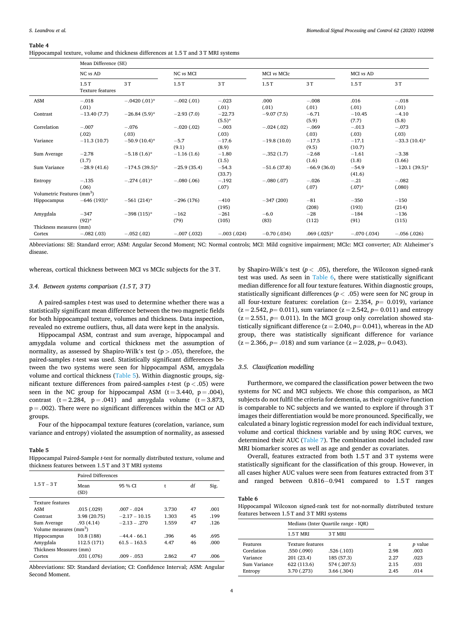#### <span id="page-3-0"></span>**Table 4**

|  |  |  |  |  |  |  | Hippocampal texture, volume and thickness differences at 1.5 T and 3 T MRI systems |
|--|--|--|--|--|--|--|------------------------------------------------------------------------------------|
|--|--|--|--|--|--|--|------------------------------------------------------------------------------------|

|                                        | Mean Difference (SE)            |                  |               |               |                |                |               |                  |  |
|----------------------------------------|---------------------------------|------------------|---------------|---------------|----------------|----------------|---------------|------------------|--|
|                                        | NC vs AD                        |                  | NC vs MCI     |               | MCI vs MCIc    |                | MCI vs AD     |                  |  |
|                                        | 1.5T<br><b>Texture features</b> | 3T               | 1.5T          | 3T            | 1.5T           | 3T             | 1.5T          | 3T               |  |
| ASM                                    | $-.018$                         | $-.0420(.01)$ *  | $-.002(.01)$  | $-.023$       | .000           | $-.008$        | .016          | $-.018$          |  |
|                                        | (.01)                           |                  |               | (.01)         | (.01)          | (.01)          | (.01)         | (.01)            |  |
| Contrast                               | $-13.40(7.7)$                   | $-26.84(5.9)$ *  | $-2.93(7.0)$  | $-22.73$      | $-9.07(7.5)$   | $-6.71$        | $-10.45$      | $-4.10$          |  |
|                                        |                                 |                  |               | $(5.5)^*$     |                | (5.9)          | (7.7)         | (5.8)            |  |
| Correlation                            | $-.007$                         | $-.076$          | $-.020(.02)$  | $-.003$       | $-.024(.02)$   | $-.069$        | $-.013$       | $-.073$          |  |
|                                        | (.02)                           | (.03)            |               | (.03)         |                | (.03)          | (.03)         | (.03)            |  |
| Variance                               | $-11.3(10.7)$                   | $-50.9(10.4)$ *  | $-5.7$        | $-17.6$       | $-19.8(10.0)$  | $-17.5$        | $-17.1$       | $-33.3(10.4)$ *  |  |
|                                        |                                 |                  | (9.1)         | (8.9)         |                | (9.5)          | (10.7)        |                  |  |
| Sum Average                            | $-2.78$                         | $-5.18(1.6)$ *   | $-1.16(1.6)$  | $-1.80$       | $-.352(1.7)$   | $-2.68$        | $-1.61$       | $-3.38$          |  |
|                                        | (1.7)                           |                  |               | (1.5)         |                | (1.6)          | (1.8)         | (1.66)           |  |
| Sum Variance                           | $-28.9(41.6)$                   | $-174.5(39.5)$ * | $-25.9(35.4)$ | $-54.3$       | $-51.6(37.8)$  | $-66.9(36.0)$  | $-54.9$       | $-120.1(39.5)$ * |  |
|                                        |                                 |                  |               | (33.7)        |                |                | (41.6)        |                  |  |
| Entropy                                | $-.135$                         | $-.274(.01)$ *   | $-.080(.06)$  | $-.192$       | $-.080(.07)$   | $-.026$        | $-.21$        | $-.082$          |  |
|                                        | (.06)                           |                  |               | (.07)         |                | (.07)          | $(.07)^*$     | (.080)           |  |
| Volumetric Features (mm <sup>3</sup> ) |                                 |                  |               |               |                |                |               |                  |  |
| Hippocampus                            | $-646(193)$ *                   | $-561(214)$ *    | $-296(176)$   | $-410$        | $-347(200)$    | $-81$          | $-350$        | $-150$           |  |
|                                        |                                 |                  |               | (195)         |                | (208)          | (193)         | (214)            |  |
| Amygdala                               | $-347$                          | $-398(115)$ *    | $-162$        | $-261$        | $-6.0$         | $-28$          | $-184$        | $-136$           |  |
|                                        | $(92)*$                         |                  | (79)          | (105)         | (83)           | (112)          | (91)          | (115)            |  |
| Thickness measures (mm)                |                                 |                  |               |               |                |                |               |                  |  |
| Cortex                                 | $-.082(.03)$                    | $-.052(.02)$     | $-.007(.032)$ | $-.003(.024)$ | $-0.70$ (.034) | $.069(.025)$ * | $-.070(.034)$ | $-.056(.026)$    |  |

Abbreviations: SE: Standard error; ASM: Angular Second Moment; NC: Normal controls; MCI: Mild cognitive impairment; MCIc: MCI converter; AD: Alzheimer's disease.

whereas, cortical thickness between MCI vs MCIc subjects for the 3 T.

# *3.4. Between systems comparison (1.5 T, 3 T)*

A paired-samples *t*-test was used to determine whether there was a statistically significant mean difference between the two magnetic fields for both hippocampal texture, volumes and thickness. Data inspection, revealed no extreme outliers, thus, all data were kept in the analysis.

Hippocampal ASM, contrast and sum average, hippocampal and amygdala volume and cortical thickness met the assumption of normality, as assessed by Shapiro-Wilk's test (p *>* .05), therefore, the paired-samples *t*-test was used. Statistically significant differences between the two systems were seen for hippocampal ASM, amygdala volume and cortical thickness (Table 5). Within diagnostic groups, significant texture differences from paired-samples *t*-test (p *<* .05) were seen in the NC group for hippocampal ASM  $(t = 3.440, p = .004)$ , contrast  $(t = 2.284, p = .041)$  and amygdala volume  $(t = 3.873,$  $p = .002$ ). There were no significant differences within the MCI or AD groups.

Four of the hippocampal texture features (corelation, variance, sum variance and entropy) violated the assumption of normality, as assessed

## **Table 5**

Hippocampal Paired-Sample *t*-test for normally distributed texture, volume and thickness features between 1.5 T and 3 T MRI systems

|                                    | Paired Differences |                 |       |    |      |  |  |  |
|------------------------------------|--------------------|-----------------|-------|----|------|--|--|--|
| $1.5T - 3T$                        | Mean<br>(SD)       | 95 % CI         |       | df | Sig. |  |  |  |
| <b>Texture features</b>            |                    |                 |       |    |      |  |  |  |
| ASM                                | .015(.029)         | $.007 - .024$   | 3.730 | 47 | .001 |  |  |  |
| Contrast                           | 3.98 (20.75)       | $-2.17 - 10.15$ | 1.303 | 45 | .199 |  |  |  |
| Sum Average                        | .93(4.14)          | $-2.13 - .270$  | 1.559 | 47 | .126 |  |  |  |
| Volume measures (mm <sup>3</sup> ) |                    |                 |       |    |      |  |  |  |
| Hippocampus                        | 10.8 (188)         | $-44.4 - 66.1$  | .396  | 46 | .695 |  |  |  |
| Amygdala                           | 112.5 (171)        | $61.5 - 163.5$  | 4.47  | 46 | .000 |  |  |  |
| Thickness Measures (mm)            |                    |                 |       |    |      |  |  |  |
| Cortex                             | .031 (.076)        | $.009 - .053$   | 2.862 | 47 | .006 |  |  |  |

Abbreviations: SD: Standard deviation; CI: Confidence Interval; ASM: Angular Second Moment.

by Shapiro-Wilk's test ( $p < .05$ ), therefore, the Wilcoxon signed-rank test was used. As seen in Table 6, there were statistically significant median difference for all four texture features. Within diagnostic groups, statistically significant differences (*p <* .05) were seen for NC group in all four-texture features: corelation (z= 2.354, *p*= 0.019), variance  $(z = 2.542, p = 0.011)$ , sum variance  $(z = 2.542, p = 0.011)$  and entropy  $(z = 2.551, p = 0.011)$ . In the MCI group only correlation showed statistically significant difference  $(z = 2.040, p = 0.041)$ , whereas in the AD group, there was statistically significant difference for variance  $(z = 2.366, p = .018)$  and sum variance  $(z = 2.028, p = 0.043)$ .

## *3.5. Classification modelling*

Furthermore, we compared the classification power between the two systems for NC and MCI subjects. We chose this comparison, as MCI subjects do not fulfil the criteria for dementia, as their cognitive function is comparable to NC subjects and we wanted to explore if through 3 T images their differentiation would be more pronounced. Specifically, we calculated a binary logistic regression model for each individual texture, volume and cortical thickness variable and by using ROC curves, we determined their AUC [\(Table 7\)](#page-4-0). The combination model included raw MRI biomarker scores as well as age and gender as covariates.

Overall, features extracted from both 1.5 T and 3 T systems were statistically significant for the classification of this group. However, in all cases higher AUC values were seen from features extracted from 3 T and ranged between 0.816-0.941 compared to 1.5 T ranges

## **Table 6**

Hippocampal Wilcoxon signed-rank test for not-normally distributed texture features between 1.5 T and 3 T MRI systems

|              |                         | Medians (Inter Quartile range - IOR) |      |                |
|--------------|-------------------------|--------------------------------------|------|----------------|
|              | $1.5T$ MRI              | 3 T MRI                              |      |                |
| Features     | <b>Texture features</b> |                                      | z    | <i>p</i> value |
| Corelation   | .550(.090)              | .526(.103)                           | 2.98 | .003           |
| Variance     | 201 (23.4)              | 185 (57.3)                           | 2.27 | .023           |
| Sum Variance | 622 (113.6)             | 574 (.207.5)                         | 2.15 | .031           |
| Entropy      | 3.70 (.273)             | 3.66(.304)                           | 2.45 | .014           |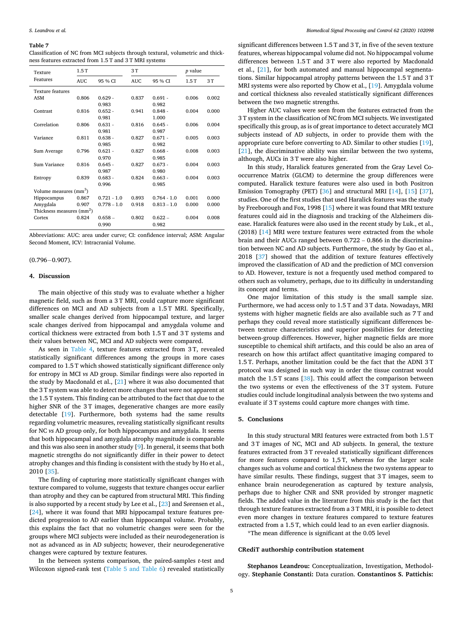#### <span id="page-4-0"></span>**Table 7**

Classification of NC from MCI subjects through textural, volumetric and thickness features extracted from 1.5 T and 3 T MRI systems

| Texture                               | 1.5T       |               | 3T         |               | <i>p</i> value |       |
|---------------------------------------|------------|---------------|------------|---------------|----------------|-------|
| Features                              | <b>AUC</b> | 95 % CI       | <b>AUC</b> | 95 % CI       | 1.5T           | 3T    |
| <b>Texture features</b>               |            |               |            |               |                |       |
| <b>ASM</b>                            | 0.806      | $0.629 -$     | 0.837      | $0.691 -$     | 0.006          | 0.002 |
|                                       |            | 0.983         |            | 0.982         |                |       |
| Contrast                              | 0.816      | $0.652 -$     | 0.941      | $0.848 -$     | 0.004          | 0.000 |
|                                       |            | 0.981         |            | 1.000         |                |       |
| Correlation                           | 0.806      | $0.631 -$     | 0.816      | $0.645 -$     | 0.006          | 0.004 |
|                                       |            | 0.981         |            | 0.987         |                |       |
| Variance                              | 0.811      | $0.638 -$     | 0.827      | $0.671 -$     | 0.005          | 0.003 |
|                                       |            | 0.985         |            | 0.982         |                |       |
| Sum Average                           | 0.796      | $0.621 -$     | 0.827      | $0.668 -$     | 0.008          | 0.003 |
|                                       |            | 0.970         |            | 0.985         |                |       |
| Sum Variance                          | 0.816      | $0.645 -$     | 0.827      | $0.673 -$     | 0.004          | 0.003 |
|                                       |            | 0.987         |            | 0.980         |                |       |
| Entropy                               | 0.839      | $0.683 -$     | 0.824      | $0.663 -$     | 0.004          | 0.003 |
|                                       |            | 0.996         |            | 0.985         |                |       |
| Volume measures (mm <sup>3</sup> )    |            |               |            |               |                |       |
| Hippocampus                           | 0.867      | $0.721 - 1.0$ | 0.893      | $0.764 - 1.0$ | 0.001          | 0.000 |
| Amygdala                              | 0.907      | $0.778 - 1.0$ | 0.918      | $0.813 - 1.0$ | 0.000          | 0.000 |
| Thickness measures (mm <sup>2</sup> ) |            |               |            |               |                |       |
| Cortex                                | 0.824      | $0.658 -$     | 0.802      | $0.622 -$     | 0.004          | 0.008 |
|                                       |            | 0.990         |            | 0.982         |                |       |

Abbreviations: AUC: area under curve; CI: confidence interval; ASM: Angular Second Moment, ICV: Intracranial Volume.

#### $(0.796 - 0.907)$ .

#### **4. Discussion**

The main objective of this study was to evaluate whether a higher magnetic field, such as from a 3 T MRI, could capture more significant differences on MCI and AD subjects from a 1.5 T MRI. Specifically, smaller scale changes derived from hippocampal texture, and larger scale changes derived from hippocampal and amygdala volume and cortical thickness were extracted from both 1.5 T and 3 T systems and their values between NC, MCI and AD subjects were compared.

As seen in [Table 4](#page-3-0), texture features extracted from 3 T, revealed statistically significant differences among the groups in more cases compared to 1.5 T which showed statistically significant difference only for entropy in MCI *vs* AD group. Similar findings were also reported in the study by Macdonald et al.,  $[21]$  $[21]$  where it was also documented that the 3 T system was able to detect more changes that were not apparent at the 1.5 T system. This finding can be attributed to the fact that due to the higher SNR of the 3T images, degenerative changes are more easily detectable [\[19](#page-5-0)]. Furthermore, both systems had the same results regarding volumetric measures, revealing statistically significant results for NC *vs* AD group only, for both hippocampus and amygdala. It seems that both hippocampal and amygdala atrophy magnitude is comparable and this was also seen in another study [[9](#page-5-0)]. In general, it seems that both magnetic strengths do not significantly differ in their power to detect atrophy changes and this finding is consistent with the study by Ho et al., 2010 [\[35](#page-5-0)].

The finding of capturing more statistically significant changes with texture compared to volume, suggests that texture changes occur earlier than atrophy and they can be captured from structural MRI. This finding is also supported by a recent study by Lee et al., [\[23](#page-5-0)] and Sørensen et al., [[24\]](#page-5-0), where it was found that MRI hippocampal texture features predicted progression to AD earlier than hippocampal volume. Probably, this explains the fact that no volumetric changes were seen for the groups where MCI subjects were included as their neurodegeneration is not as advanced as in AD subjects; however, their neurodegenerative changes were captured by texture features.

In the between systems comparison, the paired-samples *t*-test and Wilcoxon signed-rank test [\(Table 5 and Table 6\)](#page-3-0) revealed statistically

significant differences between 1.5 T and 3 T, in five of the seven texture features, whereas hippocampal volume did not. No hippocampal volume differences between 1.5 T and 3 T were also reported by Macdonald et al., [\[21](#page-5-0)], for both automated and manual hippocampal segmentations. Similar hippocampal atrophy patterns between the 1.5 T and 3 T MRI systems were also reported by Chow et al., [\[19](#page-5-0)]. Amygdala volume and cortical thickness also revealed statistically significant differences between the two magnetic strengths.

Higher AUC values were seen from the features extracted from the 3 T system in the classification of NC from MCI subjects. We investigated specifically this group, as is of great importance to detect accurately MCI subjects instead of AD subjects, in order to provide them with the appropriate cure before converting to AD. Similar to other studies [\[19](#page-5-0)], [[21\]](#page-5-0), the discriminative ability was similar between the two systems, although, AUCs in 3 T were also higher.

In this study, Haralick features generated from the Gray Level Cooccurrence Matrix (GLCM) to determine the group differences were computed. Haralick texture features were also used in both Positron Emission Tomography (PET) [[36\]](#page-5-0) and structural MRI [[14\]](#page-5-0), [[15](#page-5-0)] [\[37](#page-5-0)], studies. One of the first studies that used Haralick features was the study by Freeborough and Fox, 1998 [\[15](#page-5-0)] where it was found that MRI texture features could aid in the diagnosis and tracking of the Alzheimers disease. Haralick features were also used in the recent study by Luk., et al., (2018) [[14\]](#page-5-0) MRI were texture features were extracted from the whole brain and their AUCs ranged between 0.722 – 0.866 in the discrimination between NC and AD subjects. Furthermore, the study by Gao et al., 2018 [\[37](#page-5-0)] showed that the addition of texture features effectively improved the classification of AD and the prediction of MCI conversion to AD. However, texture is not a frequently used method compared to others such as volumetry, perhaps, due to its difficulty in understanding its concept and terms.

One major limitation of this study is the small sample size. Furthermore, we had access only to 1.5 T and 3 T data. Nowadays, MRI systems with higher magnetic fields are also available such as 7 T and perhaps they could reveal more statistically significant differences between texture characteristics and superior possibilities for detecting between-group differences. However, higher magnetic fields are more susceptible to chemical shift artifacts, and this could be also an area of research on how this artifact affect quantitative imaging compared to 1.5 T. Perhaps, another limitation could be the fact that the ADNI 3 T protocol was designed in such way in order the tissue contrast would match the 1.5 T scans [[38](#page-5-0)]. This could affect the comparison between the two systems or even the effectiveness of the 3 T system. Future studies could include longitudinal analysis between the two systems and evaluate if 3 T systems could capture more changes with time.

# **5. Conclusions**

In this study structural MRI features were extracted from both 1.5 T and 3 T images of NC, MCI and AD subjects. In general, the texture features extracted from 3 T revealed statistically significant differences for more features compared to 1,5 T, whereas for the larger scale changes such as volume and cortical thickness the two systems appear to have similar results. These findings, suggest that 3 T images, seem to enhance brain neurodegeneration as captured by texture analysis, perhaps due to higher CNR and SNR provided by stronger magnetic fields. The added value in the literature from this study is the fact that through texture features extracted from a 3 T MRI, it is possible to detect even more changes in texture features compared to texture features extracted from a 1.5 T, which could lead to an even earlier diagnosis.

\*The mean difference is significant at the 0.05 level

# **CRediT authorship contribution statement**

**Stephanos Leandrou:** Conceptualization, Investigation, Methodology. **Stephanie Constanti:** Data curation. **Constantinos S. Pattichis:**